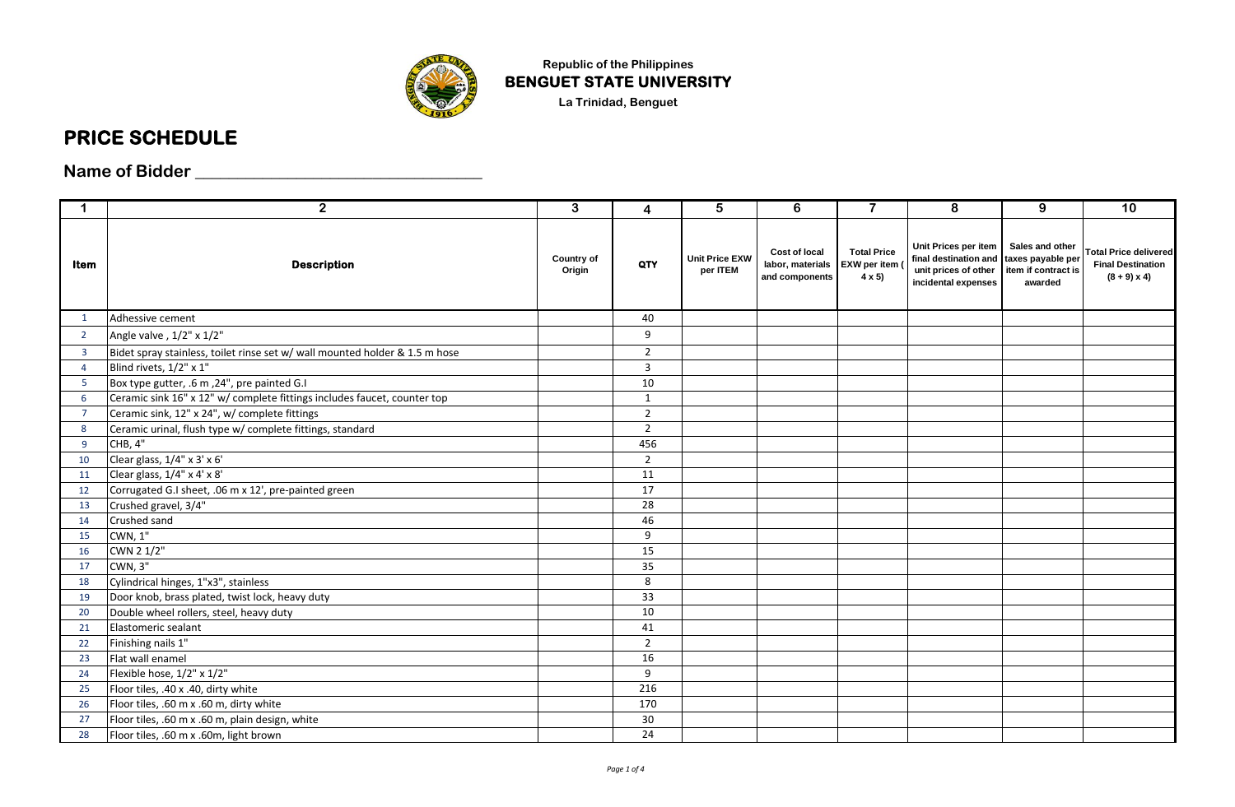

**Republic of the Philippines BENGUET STATE UNIVERSITY La Trinidad, Benguet**

## **PRICE SCHEDULE**

**Name of Bidder \_\_\_\_\_\_\_\_\_\_\_\_\_\_\_\_\_\_\_\_\_\_\_\_\_\_\_\_\_\_\_\_\_\_**

| $\mathbf 1$    | $\overline{2}$                                                              | $\overline{3}$       | 4              | $\overline{5}$                    | 6                                                   | $\overline{7}$                                     | 8                                                                                                              | 9                                                 | 10                                                                             |
|----------------|-----------------------------------------------------------------------------|----------------------|----------------|-----------------------------------|-----------------------------------------------------|----------------------------------------------------|----------------------------------------------------------------------------------------------------------------|---------------------------------------------------|--------------------------------------------------------------------------------|
| Item           | <b>Description</b>                                                          | Country of<br>Origin | QTY            | <b>Unit Price EXW</b><br>per ITEM | Cost of local<br>labor, materials<br>and components | <b>Total Price</b><br>EXW per item<br>$4 \times 5$ | Unit Prices per item<br>final destination and taxes payable per<br>unit prices of other<br>incidental expenses | Sales and other<br>item if contract is<br>awarded | <b>Total Price delivered</b><br><b>Final Destination</b><br>$(8 + 9) \times 4$ |
| 1              | Adhessive cement                                                            |                      | 40             |                                   |                                                     |                                                    |                                                                                                                |                                                   |                                                                                |
| $\overline{2}$ | Angle valve, 1/2" x 1/2"                                                    |                      | 9              |                                   |                                                     |                                                    |                                                                                                                |                                                   |                                                                                |
| $\overline{3}$ | Bidet spray stainless, toilet rinse set w/ wall mounted holder & 1.5 m hose |                      | $\overline{2}$ |                                   |                                                     |                                                    |                                                                                                                |                                                   |                                                                                |
| $\overline{4}$ | Blind rivets, 1/2" x 1"                                                     |                      | 3              |                                   |                                                     |                                                    |                                                                                                                |                                                   |                                                                                |
| 5              | Box type gutter, .6 m, 24", pre painted G.I                                 |                      | 10             |                                   |                                                     |                                                    |                                                                                                                |                                                   |                                                                                |
| 6              | Ceramic sink 16" x 12" w/ complete fittings includes faucet, counter top    |                      | $\mathbf{1}$   |                                   |                                                     |                                                    |                                                                                                                |                                                   |                                                                                |
| $\overline{7}$ | Ceramic sink, 12" x 24", w/ complete fittings                               |                      | $\overline{2}$ |                                   |                                                     |                                                    |                                                                                                                |                                                   |                                                                                |
| 8              | Ceramic urinal, flush type w/ complete fittings, standard                   |                      | $\overline{2}$ |                                   |                                                     |                                                    |                                                                                                                |                                                   |                                                                                |
| -9             | CHB, 4"                                                                     |                      | 456            |                                   |                                                     |                                                    |                                                                                                                |                                                   |                                                                                |
| 10             | Clear glass, 1/4" x 3' x 6'                                                 |                      | $\overline{2}$ |                                   |                                                     |                                                    |                                                                                                                |                                                   |                                                                                |
| 11             | Clear glass, 1/4" x 4' x 8'                                                 |                      | 11             |                                   |                                                     |                                                    |                                                                                                                |                                                   |                                                                                |
| 12             | Corrugated G.I sheet, .06 m x 12', pre-painted green                        |                      | 17             |                                   |                                                     |                                                    |                                                                                                                |                                                   |                                                                                |
| 13             | Crushed gravel, 3/4"                                                        |                      | 28             |                                   |                                                     |                                                    |                                                                                                                |                                                   |                                                                                |
| 14             | Crushed sand                                                                |                      | 46             |                                   |                                                     |                                                    |                                                                                                                |                                                   |                                                                                |
| 15             | CWN, 1"                                                                     |                      | 9              |                                   |                                                     |                                                    |                                                                                                                |                                                   |                                                                                |
| 16             | CWN 2 1/2"                                                                  |                      | 15             |                                   |                                                     |                                                    |                                                                                                                |                                                   |                                                                                |
| 17             | CWN, 3"                                                                     |                      | 35             |                                   |                                                     |                                                    |                                                                                                                |                                                   |                                                                                |
| 18             | Cylindrical hinges, 1"x3", stainless                                        |                      | 8              |                                   |                                                     |                                                    |                                                                                                                |                                                   |                                                                                |
| 19             | Door knob, brass plated, twist lock, heavy duty                             |                      | 33             |                                   |                                                     |                                                    |                                                                                                                |                                                   |                                                                                |
| 20             | Double wheel rollers, steel, heavy duty                                     |                      | 10             |                                   |                                                     |                                                    |                                                                                                                |                                                   |                                                                                |
| 21             | Elastomeric sealant                                                         |                      | 41             |                                   |                                                     |                                                    |                                                                                                                |                                                   |                                                                                |
| 22             | Finishing nails 1"                                                          |                      | $\overline{2}$ |                                   |                                                     |                                                    |                                                                                                                |                                                   |                                                                                |
| 23             | Flat wall enamel                                                            |                      | 16             |                                   |                                                     |                                                    |                                                                                                                |                                                   |                                                                                |
| 24             | Flexible hose, 1/2" x 1/2"                                                  |                      | 9              |                                   |                                                     |                                                    |                                                                                                                |                                                   |                                                                                |
| 25             | Floor tiles, .40 x .40, dirty white                                         |                      | 216            |                                   |                                                     |                                                    |                                                                                                                |                                                   |                                                                                |
| 26             | Floor tiles, .60 m x .60 m, dirty white                                     |                      | 170            |                                   |                                                     |                                                    |                                                                                                                |                                                   |                                                                                |
| 27             | Floor tiles, .60 m x .60 m, plain design, white                             |                      | 30             |                                   |                                                     |                                                    |                                                                                                                |                                                   |                                                                                |
| 28             | Floor tiles, .60 m x .60m, light brown                                      |                      | 24             |                                   |                                                     |                                                    |                                                                                                                |                                                   |                                                                                |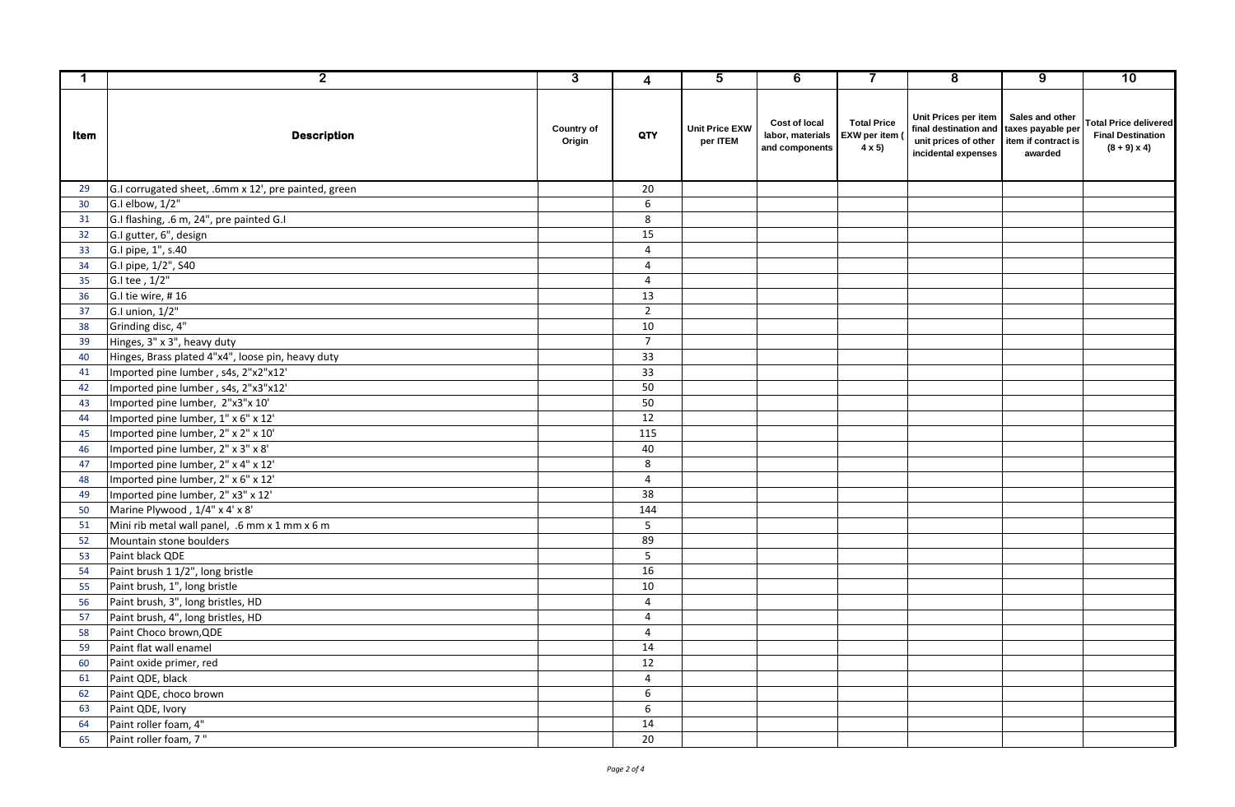| $\mathbf{1}$ | $\overline{2}$                                       | $\overline{3}$       | $\overline{\mathbf{4}}$ | $\overline{5}$                    | $\overline{6}$                                             | $\overline{\mathbf{7}}$                                   | $\overline{\mathbf{8}}$                                                                                        | $\overline{9}$                                    | 10                                                                             |
|--------------|------------------------------------------------------|----------------------|-------------------------|-----------------------------------|------------------------------------------------------------|-----------------------------------------------------------|----------------------------------------------------------------------------------------------------------------|---------------------------------------------------|--------------------------------------------------------------------------------|
| Item         | <b>Description</b>                                   | Country of<br>Origin | QTY                     | <b>Unit Price EXW</b><br>per ITEM | <b>Cost of local</b><br>labor, materials<br>and components | <b>Total Price</b><br><b>EXW</b> per item<br>$4 \times 5$ | Unit Prices per item<br>final destination and taxes payable per<br>unit prices of other<br>incidental expenses | Sales and other<br>item if contract is<br>awarded | <b>Total Price delivered</b><br><b>Final Destination</b><br>$(8 + 9) \times 4$ |
| 29           | G.I corrugated sheet, .6mm x 12', pre painted, green |                      | 20                      |                                   |                                                            |                                                           |                                                                                                                |                                                   |                                                                                |
| 30           | G.I elbow, 1/2"                                      |                      | 6                       |                                   |                                                            |                                                           |                                                                                                                |                                                   |                                                                                |
| 31           | G.I flashing, .6 m, 24", pre painted G.I             |                      | 8                       |                                   |                                                            |                                                           |                                                                                                                |                                                   |                                                                                |
| 32           | G.I gutter, 6", design                               |                      | 15                      |                                   |                                                            |                                                           |                                                                                                                |                                                   |                                                                                |
| 33           | G.I pipe, 1", s.40                                   |                      | $\overline{4}$          |                                   |                                                            |                                                           |                                                                                                                |                                                   |                                                                                |
| 34           | G.I pipe, 1/2", S40                                  |                      | $\overline{4}$          |                                   |                                                            |                                                           |                                                                                                                |                                                   |                                                                                |
| 35           | G.I tee , 1/2"                                       |                      | $\overline{4}$          |                                   |                                                            |                                                           |                                                                                                                |                                                   |                                                                                |
| 36           | G.I tie wire, #16                                    |                      | 13                      |                                   |                                                            |                                                           |                                                                                                                |                                                   |                                                                                |
| 37           | $G.I$ union, $1/2"$                                  |                      | $\overline{2}$          |                                   |                                                            |                                                           |                                                                                                                |                                                   |                                                                                |
| 38           | Grinding disc, 4"                                    |                      | 10                      |                                   |                                                            |                                                           |                                                                                                                |                                                   |                                                                                |
| 39           | Hinges, 3" x 3", heavy duty                          |                      | $\overline{7}$          |                                   |                                                            |                                                           |                                                                                                                |                                                   |                                                                                |
| 40           | Hinges, Brass plated 4"x4", loose pin, heavy duty    |                      | 33                      |                                   |                                                            |                                                           |                                                                                                                |                                                   |                                                                                |
| 41           | Imported pine lumber, s4s, 2"x2"x12'                 |                      | 33                      |                                   |                                                            |                                                           |                                                                                                                |                                                   |                                                                                |
| 42           | Imported pine lumber, s4s, 2"x3"x12'                 |                      | 50                      |                                   |                                                            |                                                           |                                                                                                                |                                                   |                                                                                |
| 43           | Imported pine lumber, 2"x3"x 10'                     |                      | 50                      |                                   |                                                            |                                                           |                                                                                                                |                                                   |                                                                                |
| 44           | Imported pine lumber, 1" x 6" x 12'                  |                      | 12                      |                                   |                                                            |                                                           |                                                                                                                |                                                   |                                                                                |
| 45           | Imported pine lumber, 2" x 2" x 10'                  |                      | 115                     |                                   |                                                            |                                                           |                                                                                                                |                                                   |                                                                                |
| 46           | Imported pine lumber, 2" x 3" x 8'                   |                      | 40                      |                                   |                                                            |                                                           |                                                                                                                |                                                   |                                                                                |
| 47           | Imported pine lumber, 2" x 4" x 12'                  |                      | 8                       |                                   |                                                            |                                                           |                                                                                                                |                                                   |                                                                                |
| 48           | Imported pine lumber, 2" x 6" x 12"                  |                      | $\overline{4}$          |                                   |                                                            |                                                           |                                                                                                                |                                                   |                                                                                |
| 49           | Imported pine lumber, 2" x3" x 12'                   |                      | 38                      |                                   |                                                            |                                                           |                                                                                                                |                                                   |                                                                                |
| 50           | Marine Plywood, 1/4" x 4' x 8'                       |                      | 144                     |                                   |                                                            |                                                           |                                                                                                                |                                                   |                                                                                |
| 51           | Mini rib metal wall panel, .6 mm x 1 mm x 6 m        |                      | 5                       |                                   |                                                            |                                                           |                                                                                                                |                                                   |                                                                                |
| 52           | Mountain stone boulders                              |                      | 89                      |                                   |                                                            |                                                           |                                                                                                                |                                                   |                                                                                |
| 53           | Paint black QDE                                      |                      | 5 <sup>5</sup>          |                                   |                                                            |                                                           |                                                                                                                |                                                   |                                                                                |
| 54           | Paint brush 1 1/2", long bristle                     |                      | 16                      |                                   |                                                            |                                                           |                                                                                                                |                                                   |                                                                                |
| 55           | Paint brush, 1", long bristle                        |                      | 10                      |                                   |                                                            |                                                           |                                                                                                                |                                                   |                                                                                |
| 56           | Paint brush, 3", long bristles, HD                   |                      | $\overline{4}$          |                                   |                                                            |                                                           |                                                                                                                |                                                   |                                                                                |
| 57           | Paint brush, 4", long bristles, HD                   |                      | $\overline{4}$          |                                   |                                                            |                                                           |                                                                                                                |                                                   |                                                                                |
| 58           | Paint Choco brown, QDE                               |                      | $\overline{4}$          |                                   |                                                            |                                                           |                                                                                                                |                                                   |                                                                                |
| 59           | Paint flat wall enamel                               |                      | 14                      |                                   |                                                            |                                                           |                                                                                                                |                                                   |                                                                                |
| 60           | Paint oxide primer, red                              |                      | 12                      |                                   |                                                            |                                                           |                                                                                                                |                                                   |                                                                                |
| 61           | Paint QDE, black                                     |                      | $\overline{4}$          |                                   |                                                            |                                                           |                                                                                                                |                                                   |                                                                                |
| 62           | Paint QDE, choco brown                               |                      | 6                       |                                   |                                                            |                                                           |                                                                                                                |                                                   |                                                                                |
| 63           | Paint QDE, Ivory                                     |                      | 6                       |                                   |                                                            |                                                           |                                                                                                                |                                                   |                                                                                |
| 64           | Paint roller foam, 4"                                |                      | 14                      |                                   |                                                            |                                                           |                                                                                                                |                                                   |                                                                                |
| 65           | Paint roller foam, 7"                                |                      | 20                      |                                   |                                                            |                                                           |                                                                                                                |                                                   |                                                                                |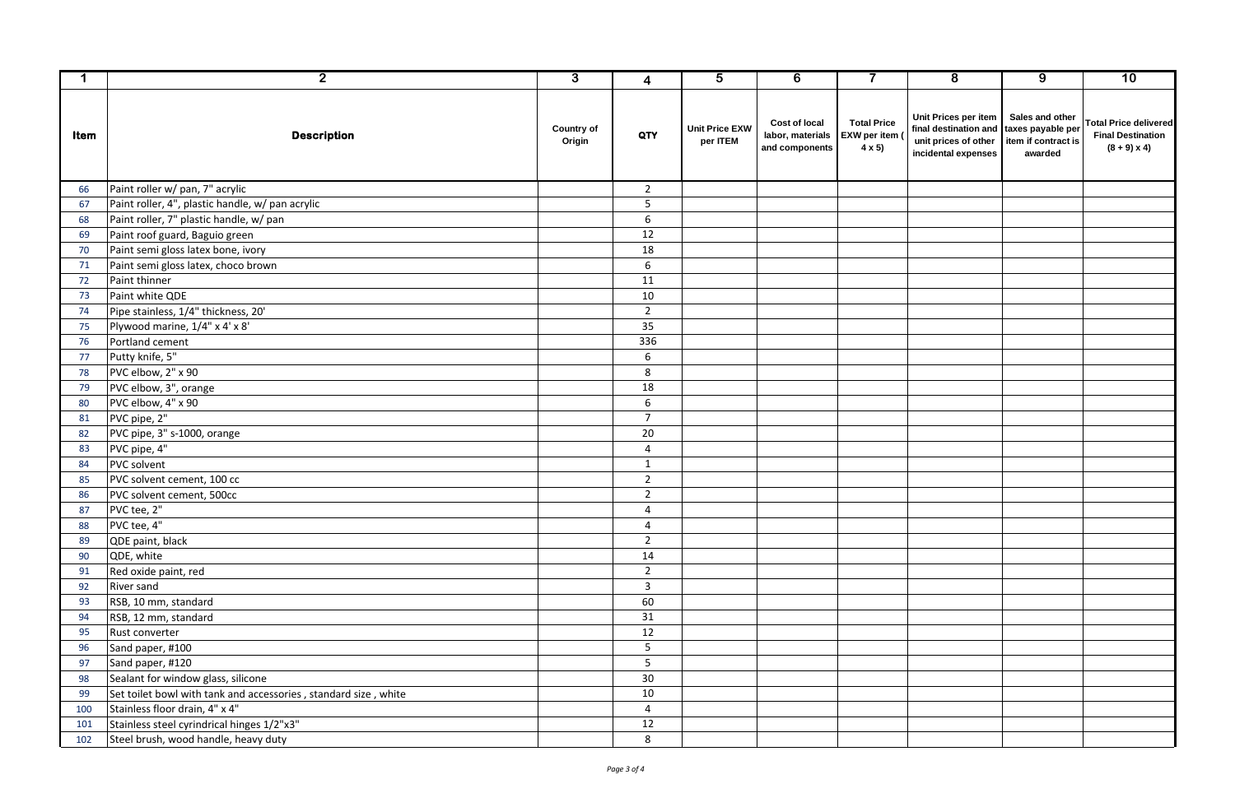| $\mathbf{1}$ | $\overline{2}$                                                  | $\overline{3}$              | $\overline{\mathbf{4}}$ | $\overline{5}$                    | $\overline{6}$                                      | $\overline{\mathbf{7}}$                                   | $\overline{8}$                                                                                                 | $\overline{9}$                                    | 10                                                                             |
|--------------|-----------------------------------------------------------------|-----------------------------|-------------------------|-----------------------------------|-----------------------------------------------------|-----------------------------------------------------------|----------------------------------------------------------------------------------------------------------------|---------------------------------------------------|--------------------------------------------------------------------------------|
| Item         | <b>Description</b>                                              | <b>Country of</b><br>Origin | QTY                     | <b>Unit Price EXW</b><br>per ITEM | Cost of local<br>labor, materials<br>and components | <b>Total Price</b><br><b>EXW</b> per item<br>$4 \times 5$ | Unit Prices per item<br>final destination and taxes payable per<br>unit prices of other<br>incidental expenses | Sales and other<br>item if contract is<br>awarded | <b>Total Price delivered</b><br><b>Final Destination</b><br>$(8 + 9) \times 4$ |
| 66           | Paint roller w/ pan, 7" acrylic                                 |                             | $\overline{2}$          |                                   |                                                     |                                                           |                                                                                                                |                                                   |                                                                                |
| 67           | Paint roller, 4", plastic handle, w/ pan acrylic                |                             | 5                       |                                   |                                                     |                                                           |                                                                                                                |                                                   |                                                                                |
| 68           | Paint roller, 7" plastic handle, w/ pan                         |                             | 6                       |                                   |                                                     |                                                           |                                                                                                                |                                                   |                                                                                |
| 69           | Paint roof guard, Baguio green                                  |                             | 12                      |                                   |                                                     |                                                           |                                                                                                                |                                                   |                                                                                |
| 70           | Paint semi gloss latex bone, ivory                              |                             | $\overline{18}$         |                                   |                                                     |                                                           |                                                                                                                |                                                   |                                                                                |
| 71           | Paint semi gloss latex, choco brown                             |                             | 6                       |                                   |                                                     |                                                           |                                                                                                                |                                                   |                                                                                |
| 72           | Paint thinner                                                   |                             | 11                      |                                   |                                                     |                                                           |                                                                                                                |                                                   |                                                                                |
| 73           | Paint white QDE                                                 |                             | 10                      |                                   |                                                     |                                                           |                                                                                                                |                                                   |                                                                                |
| 74           | Pipe stainless, 1/4" thickness, 20'                             |                             | $\overline{2}$          |                                   |                                                     |                                                           |                                                                                                                |                                                   |                                                                                |
| 75           | Plywood marine, 1/4" x 4' x 8'                                  |                             | 35                      |                                   |                                                     |                                                           |                                                                                                                |                                                   |                                                                                |
| 76           | Portland cement                                                 |                             | 336                     |                                   |                                                     |                                                           |                                                                                                                |                                                   |                                                                                |
| 77           | Putty knife, 5"                                                 |                             | 6                       |                                   |                                                     |                                                           |                                                                                                                |                                                   |                                                                                |
| 78           | PVC elbow, 2" x 90                                              |                             | 8                       |                                   |                                                     |                                                           |                                                                                                                |                                                   |                                                                                |
| 79           | PVC elbow, 3", orange                                           |                             | 18                      |                                   |                                                     |                                                           |                                                                                                                |                                                   |                                                                                |
| 80           | PVC elbow, 4" x 90                                              |                             | 6                       |                                   |                                                     |                                                           |                                                                                                                |                                                   |                                                                                |
| 81           | PVC pipe, 2"                                                    |                             | $\overline{7}$          |                                   |                                                     |                                                           |                                                                                                                |                                                   |                                                                                |
| 82           | PVC pipe, 3" s-1000, orange                                     |                             | 20                      |                                   |                                                     |                                                           |                                                                                                                |                                                   |                                                                                |
| 83           | PVC pipe, 4"                                                    |                             | $\overline{4}$          |                                   |                                                     |                                                           |                                                                                                                |                                                   |                                                                                |
| 84           | <b>PVC</b> solvent                                              |                             | $\mathbf{1}$            |                                   |                                                     |                                                           |                                                                                                                |                                                   |                                                                                |
| 85           | PVC solvent cement, 100 cc                                      |                             | $\overline{2}$          |                                   |                                                     |                                                           |                                                                                                                |                                                   |                                                                                |
| 86           | PVC solvent cement, 500cc                                       |                             | $\overline{2}$          |                                   |                                                     |                                                           |                                                                                                                |                                                   |                                                                                |
| 87           | PVC tee, 2"                                                     |                             | $\overline{4}$          |                                   |                                                     |                                                           |                                                                                                                |                                                   |                                                                                |
| 88           | PVC tee, 4"                                                     |                             | $\overline{4}$          |                                   |                                                     |                                                           |                                                                                                                |                                                   |                                                                                |
| 89           | QDE paint, black                                                |                             | $\overline{2}$          |                                   |                                                     |                                                           |                                                                                                                |                                                   |                                                                                |
| 90           | QDE, white                                                      |                             | 14                      |                                   |                                                     |                                                           |                                                                                                                |                                                   |                                                                                |
| 91           | Red oxide paint, red                                            |                             | $\overline{2}$          |                                   |                                                     |                                                           |                                                                                                                |                                                   |                                                                                |
| 92           | <b>River sand</b>                                               |                             | $\overline{3}$          |                                   |                                                     |                                                           |                                                                                                                |                                                   |                                                                                |
| 93           | RSB, 10 mm, standard                                            |                             | 60                      |                                   |                                                     |                                                           |                                                                                                                |                                                   |                                                                                |
| 94           | RSB, 12 mm, standard                                            |                             | 31                      |                                   |                                                     |                                                           |                                                                                                                |                                                   |                                                                                |
| 95           | Rust converter                                                  |                             | 12                      |                                   |                                                     |                                                           |                                                                                                                |                                                   |                                                                                |
| 96           | Sand paper, #100                                                |                             | $5\phantom{.}$          |                                   |                                                     |                                                           |                                                                                                                |                                                   |                                                                                |
| 97           | Sand paper, #120                                                |                             | $\overline{5}$          |                                   |                                                     |                                                           |                                                                                                                |                                                   |                                                                                |
| 98           | Sealant for window glass, silicone                              |                             | 30                      |                                   |                                                     |                                                           |                                                                                                                |                                                   |                                                                                |
| 99           | Set toilet bowl with tank and accessories, standard size, white |                             | 10                      |                                   |                                                     |                                                           |                                                                                                                |                                                   |                                                                                |
| 100          | Stainless floor drain, 4" x 4"                                  |                             | $\overline{4}$          |                                   |                                                     |                                                           |                                                                                                                |                                                   |                                                                                |
| 101          | Stainless steel cyrindrical hinges 1/2"x3"                      |                             | 12                      |                                   |                                                     |                                                           |                                                                                                                |                                                   |                                                                                |
| 102          | Steel brush, wood handle, heavy duty                            |                             | 8                       |                                   |                                                     |                                                           |                                                                                                                |                                                   |                                                                                |